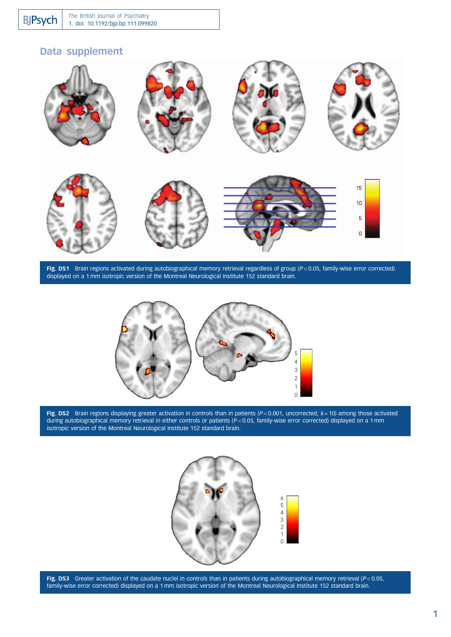## Data supplement



Fig. DS1 Brain regions activated during autobiographical memory retrieval regardless of group ( $P<0.05$ , family-wise error corrected) displayed on a 1 mm isotropic version of the Montreal Neurological Institute 152 standard brain.



Fig. DS2 Brain regions displaying greater activation in controls than in patients ( $P<0.001$ , uncorrected;  $k = 10$ ) among those activated during autobiographical memory retrieval in either controls or patients (P<0.05, family-wise error corrected) displayed on a 1 mm isotropic version of the Montreal Neurological Institute 152 standard brain.



Fig. DS3 Greater activation of the caudate nuclei in controls than in patients during autobiographical memory retrieval ( $P<0.05$ , family-wise error corrected) displayed on a 1 mm isotropic version of the Montreal Neurological Institute 152 standard brain.